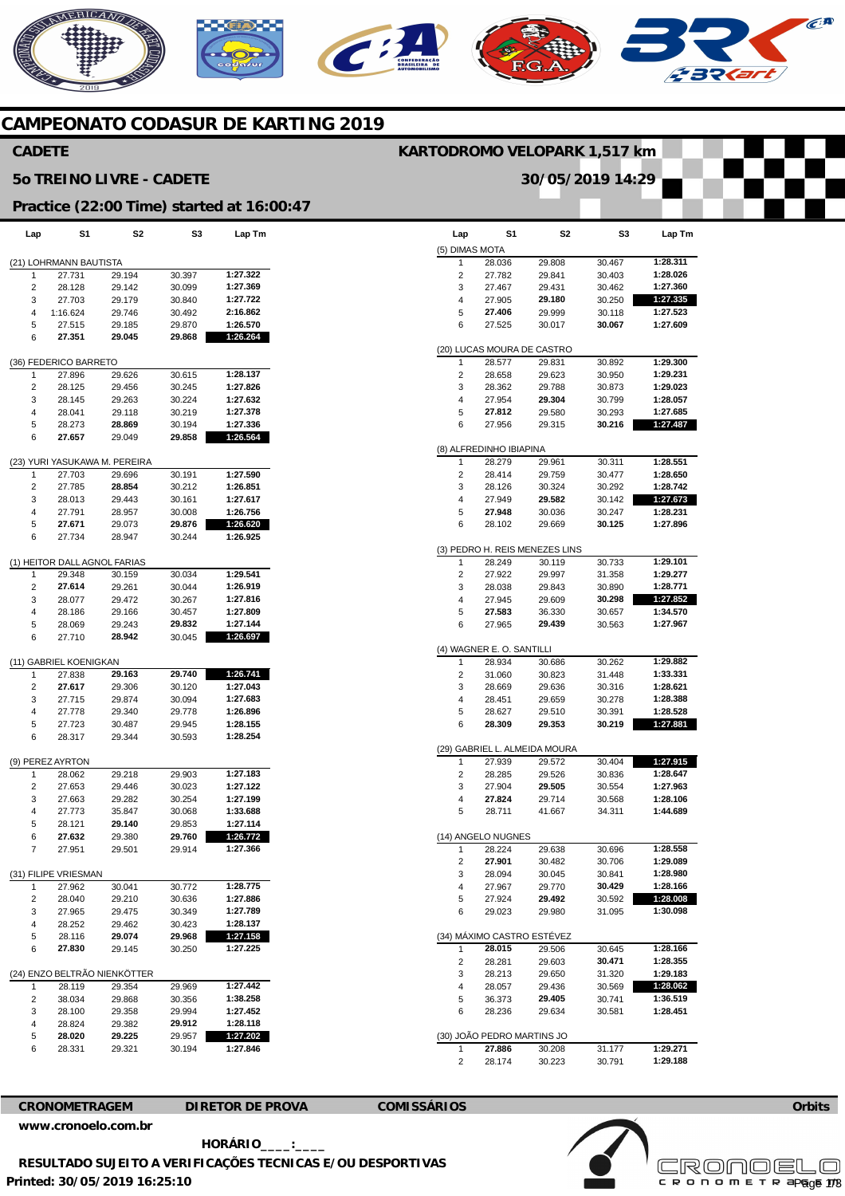## **AERICANO** CA  $\mathcal{C}$

### **CAMPEONATO CODASUR DE KARTING 2019**

### **CADETE**

#### **5o TREINO LIVRE - CADETE**

### **KARTODROMO VELOPARK 1,517 km**

**30/05/2019 14:29** 

|  |  | Practice (22:00 Time) started at 16:00:47 |
|--|--|-------------------------------------------|

| Lap                    | S1                               | S2               | S3               | Lap Tm               |  |  |  |  |
|------------------------|----------------------------------|------------------|------------------|----------------------|--|--|--|--|
| (21) LOHRMANN BAUTISTA |                                  |                  |                  |                      |  |  |  |  |
| 1                      | 27.731                           | 29.194           | 30.397           | 1:27.322             |  |  |  |  |
| 2                      | 28.128                           | 29.142           | 30.099           | 1:27.369             |  |  |  |  |
| 3                      | 27.703                           | 29.179           | 30.840           | 1:27.722             |  |  |  |  |
| 4                      | 1:16.624                         | 29.746           | 30.492           | 2:16.862             |  |  |  |  |
| 5                      | 27.515                           | 29.185           | 29.870           | 1:26.570             |  |  |  |  |
| 6                      | 27.351                           | 29.045           | 29.868           | 1:26.264             |  |  |  |  |
|                        | (36) FEDERICO BARRETO            |                  |                  |                      |  |  |  |  |
| 1                      | 27.896                           | 29.626           | 30.615           | 1:28.137             |  |  |  |  |
| 2                      | 28.125                           | 29.456           | 30.245           | 1:27.826             |  |  |  |  |
| 3                      | 28.145                           | 29.263           | 30.224           | 1:27.632             |  |  |  |  |
| 4<br>5                 | 28.041<br>28.273                 | 29.118<br>28.869 | 30.219<br>30.194 | 1:27.378<br>1:27.336 |  |  |  |  |
| 6                      | 27.657                           | 29.049           | 29.858           | 1:26.564             |  |  |  |  |
|                        |                                  |                  |                  |                      |  |  |  |  |
|                        | (23) YURI YASUKAWA M. PEREIRA    |                  |                  |                      |  |  |  |  |
| 1                      | 27.703                           | 29.696           | 30.191           | 1:27.590             |  |  |  |  |
| 2                      | 27.785                           | 28.854           | 30.212           | 1:26.851             |  |  |  |  |
| 3                      | 28.013                           | 29.443           | 30.161           | 1:27.617             |  |  |  |  |
| 4                      | 27.791                           | 28.957           | 30.008           | 1:26.756             |  |  |  |  |
| 5                      | 27.671                           | 29.073           | 29.876           | 1:26.620             |  |  |  |  |
| 6                      | 27.734                           | 28.947           | 30.244           | 1:26.925             |  |  |  |  |
|                        | (1) HEITOR DALL AGNOL FARIAS     |                  |                  |                      |  |  |  |  |
| 1                      | 29.348                           | 30.159           | 30.034           | 1:29.541             |  |  |  |  |
| 2                      | 27.614                           | 29.261           | 30.044           | 1:26.919             |  |  |  |  |
| 3                      | 28.077                           | 29.472           | 30.267           | 1:27.816             |  |  |  |  |
| 4                      | 28.186                           | 29.166           | 30.457<br>29.832 | 1:27.809<br>1:27.144 |  |  |  |  |
| 5<br>6                 | 28.069<br>27.710                 | 29.243<br>28.942 | 30.045           | 1:26.697             |  |  |  |  |
|                        |                                  |                  |                  |                      |  |  |  |  |
| 1                      | (11) GABRIEL KOENIGKAN<br>27.838 | 29.163           | 29.740           | 1:26.741             |  |  |  |  |
| $\overline{c}$         | 27.617                           | 29.306           | 30.120           | 1:27.043             |  |  |  |  |
| 3                      | 27.715                           | 29.874           | 30.094           | 1:27.683             |  |  |  |  |
| 4                      | 27.778                           | 29.340           | 29.778           | 1:26.896             |  |  |  |  |
| 5                      | 27.723                           | 30.487           | 29.945           | 1:28.155             |  |  |  |  |
| 6                      | 28.317                           | 29.344           | 30.593           | 1:28.254             |  |  |  |  |
|                        | (9) PEREZ AYRTON                 |                  |                  |                      |  |  |  |  |
| 1                      | 28.062                           | 29.218           | 29.903           | 1:27.183             |  |  |  |  |
| 2                      | 27.653                           | 29.446           | 30.023           | 1:27.122             |  |  |  |  |
| 3                      | 27.663                           | 29.282           | 30.254           | 1:27.199             |  |  |  |  |
| 4                      | 27.773                           | 35.847           | 30.068           | 1:33.688             |  |  |  |  |
| 5                      | 28.121                           | 29.140           | 29.853           | 1:27.114             |  |  |  |  |
| 6                      | 27.632                           | 29.380           | 29.760           | 1:26.772             |  |  |  |  |
| 7                      | 27.951                           | 29.501           | 29.914           | 1:27.366             |  |  |  |  |
|                        | (31) FILIPE VRIESMAN             |                  |                  |                      |  |  |  |  |
| 1                      | 27.962                           | 30.041           | 30.772           | 1:28.775             |  |  |  |  |
| 2                      | 28.040                           | 29.210           | 30.636           | 1:27.886             |  |  |  |  |
| 3                      | 27.965                           | 29.475           | 30.349           | 1:27.789             |  |  |  |  |
| 4                      | 28.252                           | 29.462           | 30.423           | 1:28.137             |  |  |  |  |
| 5                      | 28.116                           | 29.074           | 29.968           | 1:27.158             |  |  |  |  |
| 6                      | 27.830                           | 29.145           | 30.250           | 1:27.225             |  |  |  |  |
|                        | (24) ENZO BELTRÃO NIENKÖTTER     |                  |                  |                      |  |  |  |  |
| 1                      | 28.119                           | 29.354           | 29.969           | 1:27.442             |  |  |  |  |
| 2                      | 38.034                           | 29.868           | 30.356           | 1:38.258             |  |  |  |  |
| 3                      | 28.100                           | 29.358           | 29.994           | 1:27.452             |  |  |  |  |
| 4                      | 28.824                           | 29.382           | 29.912           | 1:28.118             |  |  |  |  |
| 5                      | 28.020                           | 29.225           | 29.957           | 1:27.202<br>1:27.846 |  |  |  |  |
| 6                      | 28.331                           | 29.321           | 30.194           |                      |  |  |  |  |

| Lap                     | S1                                   | S2                             | S3               | Lap Tm               |
|-------------------------|--------------------------------------|--------------------------------|------------------|----------------------|
| (5) DIMAS MOTA          |                                      |                                |                  |                      |
| 1                       | 28.036                               | 29.808                         | 30.467           | 1:28.311             |
| 2                       | 27.782                               | 29.841                         | 30.403           | 1:28.026             |
| 3                       | 27.467                               | 29.431                         | 30.462           | 1:27.360             |
| 4                       | 27.905                               | 29.180                         | 30.250           | 1:27.335             |
| 5                       | 27.406                               | 29.999                         | 30.118           | 1:27.523             |
| 6                       | 27.525                               | 30.017                         | 30.067           | 1:27.609             |
|                         | (20) LUCAS MOURA DE CASTRO           |                                |                  |                      |
| 1                       | 28.577                               | 29.831                         | 30.892           | 1:29.300             |
| 2                       | 28.658                               | 29.623                         | 30.950           | 1:29.231             |
| 3                       | 28.362                               | 29.788                         | 30.873           | 1:29.023             |
| 4                       | 27.954                               | 29.304                         | 30.799           | 1:28.057             |
| 5<br>6                  | 27.812<br>27.956                     | 29.580<br>29.315               | 30.293<br>30.216 | 1:27.685<br>1:27.487 |
|                         | (8) ALFREDINHO IBIAPINA              |                                |                  |                      |
| 1                       | 28.279                               | 29.961                         | 30.311           | 1:28.551             |
| 2                       | 28.414                               | 29.759                         | 30.477           | 1:28.650             |
| 3                       | 28.126                               | 30.324                         | 30.292           | 1:28.742             |
| 4                       | 27.949                               | 29.582                         | 30.142           | 1:27.673             |
| 5                       | 27.948                               | 30.036                         | 30.247           | 1:28.231             |
| 6                       | 28.102                               | 29.669                         | 30.125           | 1:27.896             |
|                         |                                      | (3) PEDRO H. REIS MENEZES LINS |                  |                      |
| 1                       | 28.249                               | 30.119                         | 30.733           | 1:29.101             |
| 2                       | 27.922                               | 29.997                         | 31.358           | 1:29.277             |
| 3                       | 28.038                               | 29.843                         | 30.890           | 1:28.771             |
| 4                       | 27.945                               | 29.609                         | 30.298           | 1:27.852             |
| 5                       | 27.583                               | 36.330                         | 30.657           | 1:34.570             |
| 6                       | 27.965                               | 29.439                         | 30.563           | 1:27.967             |
|                         | (4) WAGNER E. O. SANTILLI            |                                |                  |                      |
| 1                       | 28.934                               | 30.686                         | 30.262           | 1:29.882             |
| 2                       | 31.060                               | 30.823                         | 31.448           | 1:33.331             |
| 3                       | 28.669                               | 29.636                         | 30.316           | 1:28.621             |
| 4                       | 28.451                               | 29.659                         | 30.278           | 1:28.388             |
| 5                       | 28.627                               | 29.510                         | 30.391           | 1:28.528             |
| 6                       | 28.309                               | 29.353                         | 30.219           | 1:27.881             |
|                         | (29) GABRIEL L. ALMEIDA MOURA        |                                |                  |                      |
| 1                       | 27.939                               | 29.572                         | 30.404           | 1:27.915             |
| 2                       | 28.285                               | 29.526                         | 30.836           | 1:28.647             |
| 3                       | 27.904                               | 29.505                         | 30.554           | 1:27.963             |
| 4                       | 27.824                               | 29.714                         | 30.568           | 1:28.106             |
| 5                       | 28.711                               | 41.667                         | 34.311           | 1:44.689             |
|                         | (14) ANGELO NUGNES                   |                                |                  | 1:28.558             |
| $\overline{\mathbf{c}}$ | 28.224<br>27.901                     | 29.638                         | 30.696<br>30.706 | 1:29.089             |
| 3                       | 28.094                               | 30.482<br>30.045               | 30.841           | 1:28.980             |
| 4                       | 27.967                               | 29.770                         | 30.429           | 1:28.166             |
| 5                       | 27.924                               | 29.492                         | 30.592           | 1:28.008             |
| 6                       | 29.023                               | 29.980                         | 31.095           | 1:30.098             |
|                         |                                      |                                |                  |                      |
| 1                       | (34) MÁXIMO CASTRO ESTÉVEZ<br>28.015 | 29.506                         | 30.645           | 1:28.166             |
| 2                       | 28.281                               | 29.603                         | 30.471           | 1:28.355             |
| 3                       | 28.213                               | 29.650                         | 31.320           | 1:29.183             |
| 4                       | 28.057                               | 29.436                         | 30.569           | 1:28.062             |
| 5                       | 36.373                               | 29.405                         | 30.741           | 1:36.519             |
| 6                       | 28.236                               | 29.634                         | 30.581           | 1:28.451             |
|                         | (30) JOÃO PEDRO MARTINS JO           |                                |                  |                      |
| 1                       | 27.886                               | 30.208                         | 31.177           | 1:29.271             |
| 2                       | 28.174                               | 30.223                         | 30.791           | 1:29.188             |

**CRONOMETRAGEM DIRETOR DE PROVA COMISSÁRIOS [www.cronoelo.com.br](http://www.cronoelo.com.br)** 



**Printed: 30/05/2019 16:25:10 HORÁRIO\_\_\_\_:\_\_\_\_ RESULTADO SUJEITO A VERIFICAÇÕES TECNICAS E/OU DESPORTIVAS**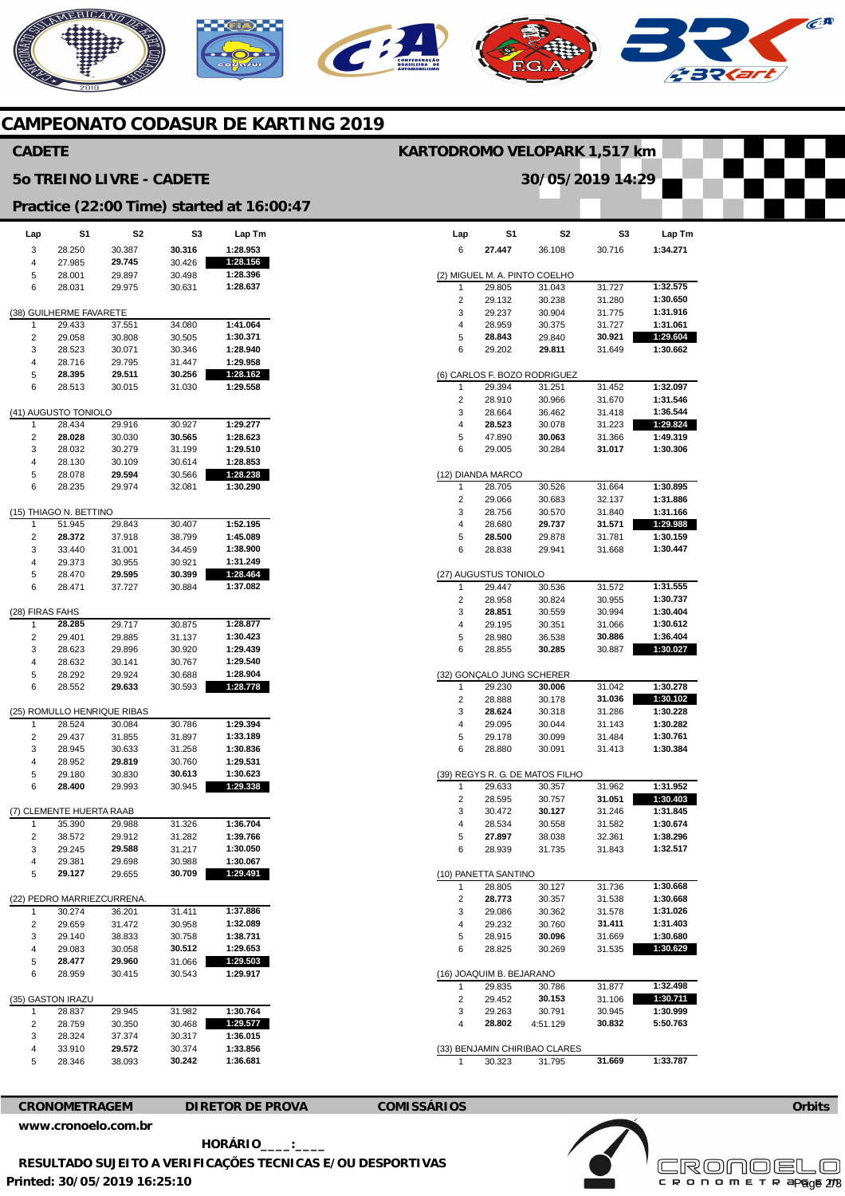# NERICANO  $\epsilon$ **A**

### **CAMPEONATO CODASUR DE KARTING 2019**

# **CADETE 5o TREINO LIVRE - CADETE**

## **KARTODROMO VELOPARK 1,517 km**

 $\overline{\phantom{a}}$ 

**30/05/2019 14:29** 

 $\overline{\phantom{a}}$ 

**Practice (22:00 Time) started at 16:00:47** 

| Lap             | S1                       | S2                                   | S3               | Lap Tm   |  |  |  |
|-----------------|--------------------------|--------------------------------------|------------------|----------|--|--|--|
| 3               | 28.250                   | 30.387                               | 30.316           | 1:28.953 |  |  |  |
| 4               | 27.985                   | 29.745                               | 30.426           | 1:28.156 |  |  |  |
| 5               | 28.001                   | 29.897                               | 30.498           | 1:28.396 |  |  |  |
| 6               | 28.031                   | 29.975                               | 30.631           | 1:28.637 |  |  |  |
|                 |                          |                                      |                  |          |  |  |  |
|                 | (38) GUILHERME FAVARETE  |                                      |                  |          |  |  |  |
| 1               | 29.433                   | 37.551                               | 34.080           | 1:41.064 |  |  |  |
| 2               | 29.058                   | 30.808                               | 30.505           | 1:30.371 |  |  |  |
| 3               | 28.523                   | 30.071                               | 30.346           | 1:28.940 |  |  |  |
| 4               | 28.716                   | 29.795                               | 31.447           | 1:29.958 |  |  |  |
| 5               | 28.395                   | 29.511                               | 30.256           | 1:28.162 |  |  |  |
| 6               | 28.513                   | 30.015                               | 31.030           | 1:29.558 |  |  |  |
|                 |                          |                                      |                  |          |  |  |  |
|                 | (41) AUGUSTO TONIOLO     |                                      |                  |          |  |  |  |
| 1               | 28.434                   | 29.916                               | 30.927           | 1:29.277 |  |  |  |
| 2               | 28.028                   | 30.030                               | 30.565           | 1:28.623 |  |  |  |
| 3               | 28.032                   | 30.279                               | 31.199           | 1:29.510 |  |  |  |
| 4               | 28.130                   | 30.109                               | 30.614           | 1:28.853 |  |  |  |
| 5               | 28.078                   | 29.594                               | 30.566           | 1:28.238 |  |  |  |
| 6               | 28.235                   | 29.974                               | 32.081           | 1:30.290 |  |  |  |
|                 | (15) THIAGO N. BETTINO   |                                      |                  |          |  |  |  |
| 1               | 51.945                   | 29.843                               | 30.407           | 1:52.195 |  |  |  |
| 2               | 28.372                   |                                      | 38.799           | 1:45.089 |  |  |  |
|                 |                          | 37.918                               |                  | 1:38.900 |  |  |  |
| 3               | 33.440                   | 31.001                               | 34.459           |          |  |  |  |
| 4               | 29.373                   | 30.955                               | 30.921           | 1:31.249 |  |  |  |
| 5               | 28.470                   | 29.595                               | 30.399<br>30.884 | 1:28.464 |  |  |  |
| 6               | 28.471                   | 37.727                               |                  | 1:37.082 |  |  |  |
| (28) FIRAS FAHS |                          |                                      |                  |          |  |  |  |
| 1               | 28.285                   | 29.717                               | 30.875           | 1:28.877 |  |  |  |
| 2               | 29.401                   | 29.885                               | 31.137           | 1:30.423 |  |  |  |
| 3               | 28.623                   | 29.896                               | 30.920           | 1:29.439 |  |  |  |
| 4               | 28.632                   | 30.141                               | 30.767           | 1:29.540 |  |  |  |
| 5               | 28.292                   |                                      |                  | 1:28.904 |  |  |  |
| 6               | 28.552                   | 29.924<br>29.633                     | 30.688<br>30.593 | 1:28.778 |  |  |  |
|                 |                          |                                      |                  |          |  |  |  |
|                 |                          | (25) ROMULLO HENRIQUE RIBAS          |                  |          |  |  |  |
| 1               | 28.524                   | 30.084                               | 30.786           | 1:29.394 |  |  |  |
| 2               | 29.437                   | 31.855                               | 31.897           | 1:33.189 |  |  |  |
| 3               | 28.945                   | 30.633                               | 31.258           | 1:30.836 |  |  |  |
| 4               | 28.952                   | 29.819                               | 30.760           | 1:29.531 |  |  |  |
| 5               | 29.180                   | 30.830                               | 30.613           | 1:30.623 |  |  |  |
| 6               | 28.400                   | 29.993                               | 30.945           | 1:29.338 |  |  |  |
|                 |                          |                                      |                  |          |  |  |  |
|                 | (7) CLEMENTE HUERTA RAAB |                                      |                  |          |  |  |  |
| 1               | 35.390                   | 29.988                               | 31.326           | 1:36.704 |  |  |  |
| 2               | 38.572                   | 29.912                               | 31.282           | 1:39.766 |  |  |  |
| 3               | 29.245                   | 29.588                               | 31.217           | 1:30.050 |  |  |  |
| 4               | 29.381                   | 29.698                               | 30.988           | 1:30.067 |  |  |  |
| 5               | 29.127                   | 29.655                               | 30.709           | 1:29.491 |  |  |  |
|                 |                          |                                      |                  |          |  |  |  |
| 1               | 30.274                   | (22) PEDRO MARRIEZCURRENA.<br>36.201 | 31.411           | 1:37.886 |  |  |  |
|                 | 29.659                   |                                      | 30.958           | 1:32.089 |  |  |  |
| 2<br>3          | 29.140                   | 31.472<br>38.833                     |                  | 1:38.731 |  |  |  |
| 4               | 29.083                   | 30.058                               | 30.758<br>30.512 | 1:29.653 |  |  |  |
|                 | 28.477                   | 29.960                               |                  | 1:29.503 |  |  |  |
| 5<br>6          | 28.959                   | 30.415                               | 31.066<br>30.543 | 1:29.917 |  |  |  |
|                 |                          |                                      |                  |          |  |  |  |
|                 | (35) GASTON IRAZU        |                                      |                  |          |  |  |  |
| 1               | 28.837                   | 29.945                               | 31.982           | 1:30.764 |  |  |  |
| 2               | 28.759                   | 30.350                               | 30.468           | 1:29.577 |  |  |  |
| 3               | 28.324                   | 37.374                               | 30.317           | 1:36.015 |  |  |  |
| 4               | 33.910                   | 29.572                               | 30.374           | 1:33.856 |  |  |  |
| 5               | 28.346                   | 38.093                               | 30.242           | 1:36.681 |  |  |  |
|                 |                          |                                      |                  |          |  |  |  |

| Lap  | S1                       | S2                              | S3     | Lap Tm   |
|------|--------------------------|---------------------------------|--------|----------|
| 6    | 27.447                   | 36.108                          | 30.716 | 1:34.271 |
|      |                          |                                 |        |          |
|      |                          | (2) MIGUEL M. A. PINTO COELHO   |        |          |
| 1    | 29.805                   | 31.043                          | 31.727 | 1:32.575 |
| 2    | 29.132                   | 30.238                          | 31.280 | 1:30.650 |
| 3    | 29.237                   | 30.904                          | 31.775 | 1:31.916 |
| 4    | 28.959                   | 30.375                          | 31.727 | 1:31.061 |
| 5    | 28.843                   | 29.840                          | 30.921 | 1:29.604 |
| 6    | 29.202                   | 29.811                          | 31.649 | 1:30.662 |
|      |                          | (6) CARLOS F. BOZO RODRIGUEZ    |        |          |
| 1    | 29.394                   | 31.251                          | 31.452 | 1:32.097 |
| 2    | 28.910                   | 30.966                          | 31.670 | 1:31.546 |
| 3    | 28.664                   | 36.462                          | 31.418 | 1:36.544 |
| 4    | 28.523                   | 30.078                          | 31.223 | 1:29.824 |
| 5    | 47.890                   | 30.063                          | 31.366 | 1:49.319 |
| 6    | 29.005                   | 30.284                          | 31.017 | 1:30.306 |
|      |                          |                                 |        |          |
|      | (12) DIANDA MARCO        |                                 |        |          |
| 1    | 28.705                   | 30.526                          | 31.664 | 1:30.895 |
| 2    | 29.066                   | 30.683                          | 32.137 | 1:31.886 |
| 3    | 28.756                   | 30.570                          | 31.840 | 1:31.166 |
| 4    | 28.680                   | 29.737                          | 31.571 | 1:29.988 |
| 5    | 28.500                   | 29.878                          | 31.781 | 1:30.159 |
| 6    | 28.838                   | 29.941                          | 31.668 | 1:30.447 |
|      |                          |                                 |        |          |
|      | (27) AUGUSTUS TONIOLO    |                                 |        |          |
| 1    | 29.447                   | 30.536                          | 31.572 | 1:31.555 |
| 2    | 28.958                   | 30.824                          | 30.955 | 1:30.737 |
| 3    | 28.851                   | 30.559                          | 30.994 | 1:30.404 |
| 4    | 29.195                   | 30.351                          | 31.066 | 1:30.612 |
| 5    | 28.980                   | 36.538                          | 30.886 | 1:36.404 |
| 6    | 28.855                   | 30.285                          | 30.887 | 1:30.027 |
|      |                          |                                 |        |          |
| (32) |                          | GONÇALO JUNG SCHERER            |        |          |
| 1    | 29.230                   | 30.006                          | 31.042 | 1:30.278 |
| 2    | 28.888                   | 30.178                          | 31.036 | 1:30.102 |
| 3    | 28.624                   | 30.318                          | 31.286 | 1:30.228 |
| 4    | 29.095                   | 30.044                          | 31.143 | 1:30.282 |
| 5    | 29.178                   | 30.099                          | 31.484 | 1:30.761 |
| 6    | 28.880                   | 30.091                          | 31.413 | 1:30.384 |
|      |                          | (39) REGYS R. G. DE MATOS FILHO |        |          |
| 1    | 29.633                   | 30.357                          | 31.962 | 1:31.952 |
| 2    | 28.595                   | 30.757                          | 31.051 | 1:30.403 |
| 3    | 30.472                   | 30.127                          | 31.246 | 1:31.845 |
| 4    | 28.534                   | 30.558                          | 31.582 | 1:30.674 |
| 5    | 27.897                   | 38.038                          | 32.361 | 1:38.296 |
| 6    | 28.939                   | 31.735                          | 31.843 | 1:32.517 |
|      |                          |                                 |        |          |
|      | (10) PANETTA SANTINO     |                                 |        |          |
| 1    | 28.805                   | 30.127                          | 31.736 | 1:30.668 |
| 2    | 28.773                   | 30.357                          | 31.538 | 1:30.668 |
| 3    | 29.086                   | 30.362                          | 31.578 | 1:31.026 |
| 4    | 29.232                   | 30.760                          | 31.411 | 1:31.403 |
| 5    | 28.915                   | 30.096                          | 31.669 | 1:30.680 |
| 6    | 28.825                   | 30.269                          | 31.535 | 1:30.629 |
|      |                          |                                 |        |          |
|      | (16) JOAQUIM B. BEJARANO |                                 |        |          |
| 1    | 29.835                   | 30.786                          | 31.877 | 1:32.498 |
| 2    | 29.452                   | 30.153                          | 31.106 | 1:30.711 |
| 3    | 29.263                   | 30.791                          | 30.945 | 1:30.999 |
| 4    | 28.802                   | 4:51.129                        | 30.832 | 5:50.763 |
|      |                          |                                 |        |          |
|      |                          | (33) BENJAMIN CHIRIBAO CLARES   |        |          |
| 1    | 30.323                   | 31.795                          | 31.669 | 1:33.787 |

1 30.323 31.795 **31.669** 

### **CRONOMETRAGEM DIRETOR DE PROVA COMISSÁRIOS**

**Orbits** 

**Printed: 30/05/2019 16:25:10 [www.cronoelo.com.br](http://www.cronoelo.com.br) HORÁRIO\_\_\_\_:\_\_\_\_ RESULTADO SUJEITO A VERIFICAÇÕES TECNICAS E/OU DESPORTIVAS**